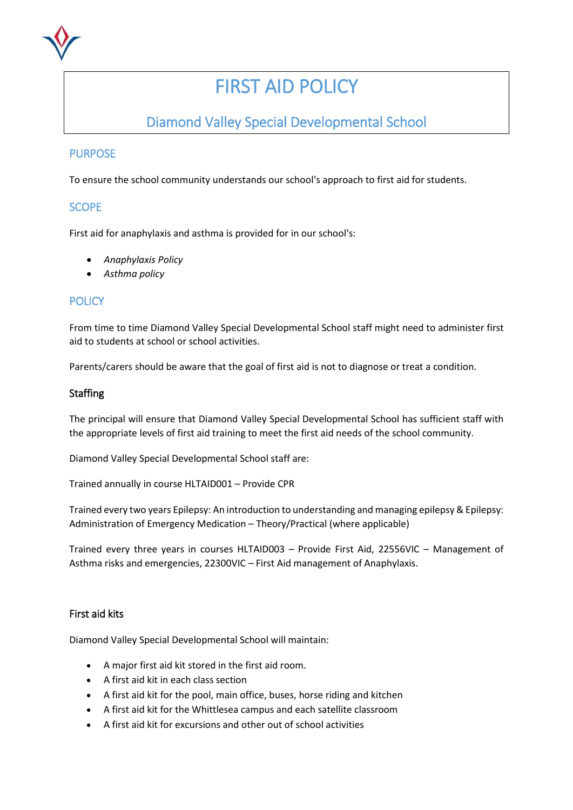

# FIRST AID POLICY

# Diamond Valley Special Developmental School

### **PURPOSE**

To ensure the school community understands our school's approach to first aid for students.

#### **SCOPE**

First aid for anaphylaxis and asthma is provided for in our school's:

- *Anaphylaxis Policy*
- *Asthma policy*

### **POLICY**

From time to time Diamond Valley Special Developmental School staff might need to administer first aid to students at school or school activities.

Parents/carers should be aware that the goal of first aid is not to diagnose or treat a condition.

#### **Staffing**

The principal will ensure that Diamond Valley Special Developmental School has sufficient staff with the appropriate levels of first aid training to meet the first aid needs of the school community.

Diamond Valley Special Developmental School staff are:

Trained annually in course HLTAID001 – Provide CPR

Trained every two years Epilepsy: An introduction to understanding and managing epilepsy & Epilepsy: Administration of Emergency Medication – Theory/Practical (where applicable)

Trained every three years in courses HLTAID003 – Provide First Aid, 22556VIC – Management of Asthma risks and emergencies, 22300VIC – First Aid management of Anaphylaxis.

#### First aid kits

Diamond Valley Special Developmental School will maintain:

- A major first aid kit stored in the first aid room.
- A first aid kit in each class section
- A first aid kit for the pool, main office, buses, horse riding and kitchen
- A first aid kit for the Whittlesea campus and each satellite classroom
- A first aid kit for excursions and other out of school activities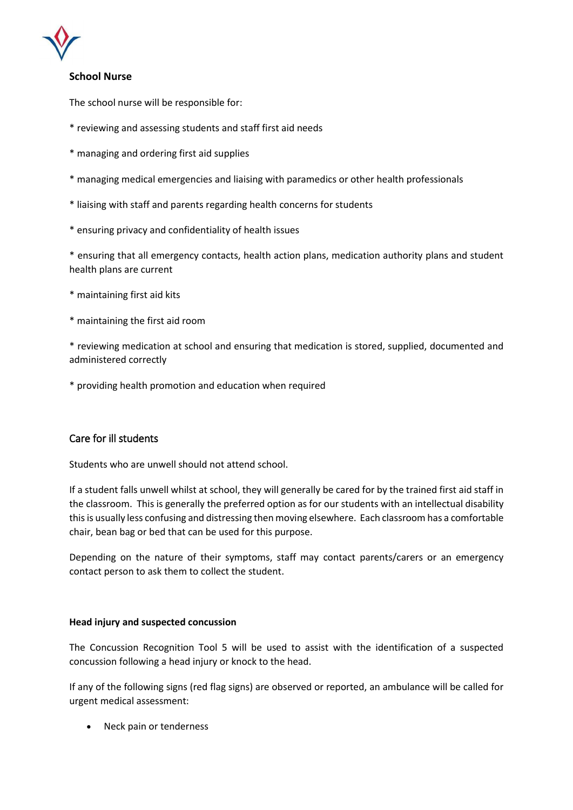

#### **School Nurse**

The school nurse will be responsible for:

- \* reviewing and assessing students and staff first aid needs
- \* managing and ordering first aid supplies
- \* managing medical emergencies and liaising with paramedics or other health professionals
- \* liaising with staff and parents regarding health concerns for students
- \* ensuring privacy and confidentiality of health issues

\* ensuring that all emergency contacts, health action plans, medication authority plans and student health plans are current

- \* maintaining first aid kits
- \* maintaining the first aid room

\* reviewing medication at school and ensuring that medication is stored, supplied, documented and administered correctly

\* providing health promotion and education when required

#### Care for ill students

Students who are unwell should not attend school.

If a student falls unwell whilst at school, they will generally be cared for by the trained first aid staff in the classroom. This is generally the preferred option as for our students with an intellectual disability this is usually less confusing and distressing then moving elsewhere. Each classroom has a comfortable chair, bean bag or bed that can be used for this purpose.

Depending on the nature of their symptoms, staff may contact parents/carers or an emergency contact person to ask them to collect the student.

#### **Head injury and suspected concussion**

The Concussion Recognition Tool 5 will be used to assist with the identification of a suspected concussion following a head injury or knock to the head.

If any of the following signs (red flag signs) are observed or reported, an ambulance will be called for urgent medical assessment:

• Neck pain or tenderness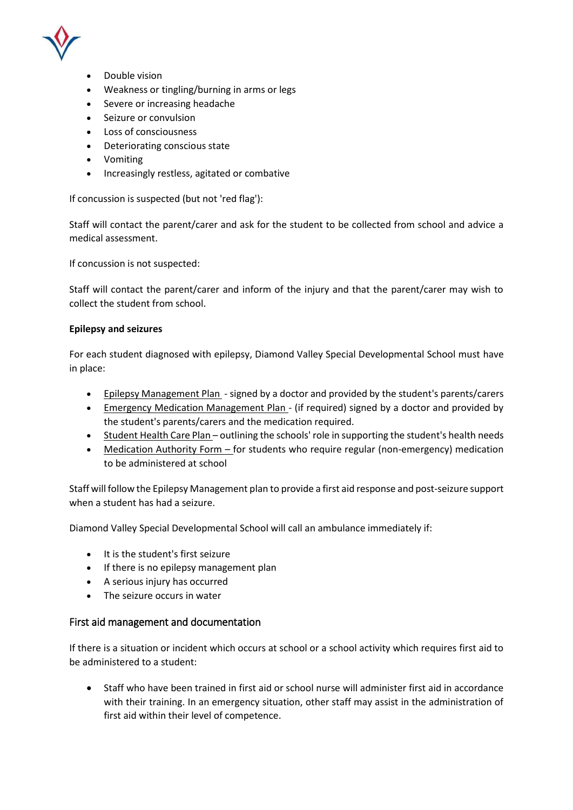

- Double vision
- Weakness or tingling/burning in arms or legs
- Severe or increasing headache
- Seizure or convulsion
- Loss of consciousness
- Deteriorating conscious state
- Vomiting
- Increasingly restless, agitated or combative

If concussion is suspected (but not 'red flag'):

Staff will contact the parent/carer and ask for the student to be collected from school and advice a medical assessment.

If concussion is not suspected:

Staff will contact the parent/carer and inform of the injury and that the parent/carer may wish to collect the student from school.

#### **Epilepsy and seizures**

For each student diagnosed with epilepsy, Diamond Valley Special Developmental School must have in place:

- Epilepsy Management Plan signed by a doctor and provided by the student's parents/carers
- Emergency Medication Management Plan (if required) signed by a doctor and provided by the student's parents/carers and the medication required.
- Student Health Care Plan outlining the schools' role in supporting the student's health needs
- Medication Authority Form for students who require regular (non-emergency) medication to be administered at school

Staff will follow the Epilepsy Management plan to provide a first aid response and post-seizure support when a student has had a seizure.

Diamond Valley Special Developmental School will call an ambulance immediately if:

- It is the student's first seizure
- If there is no epilepsy management plan
- A serious injury has occurred
- The seizure occurs in water

#### First aid management and documentation

If there is a situation or incident which occurs at school or a school activity which requires first aid to be administered to a student:

 Staff who have been trained in first aid or school nurse will administer first aid in accordance with their training. In an emergency situation, other staff may assist in the administration of first aid within their level of competence.